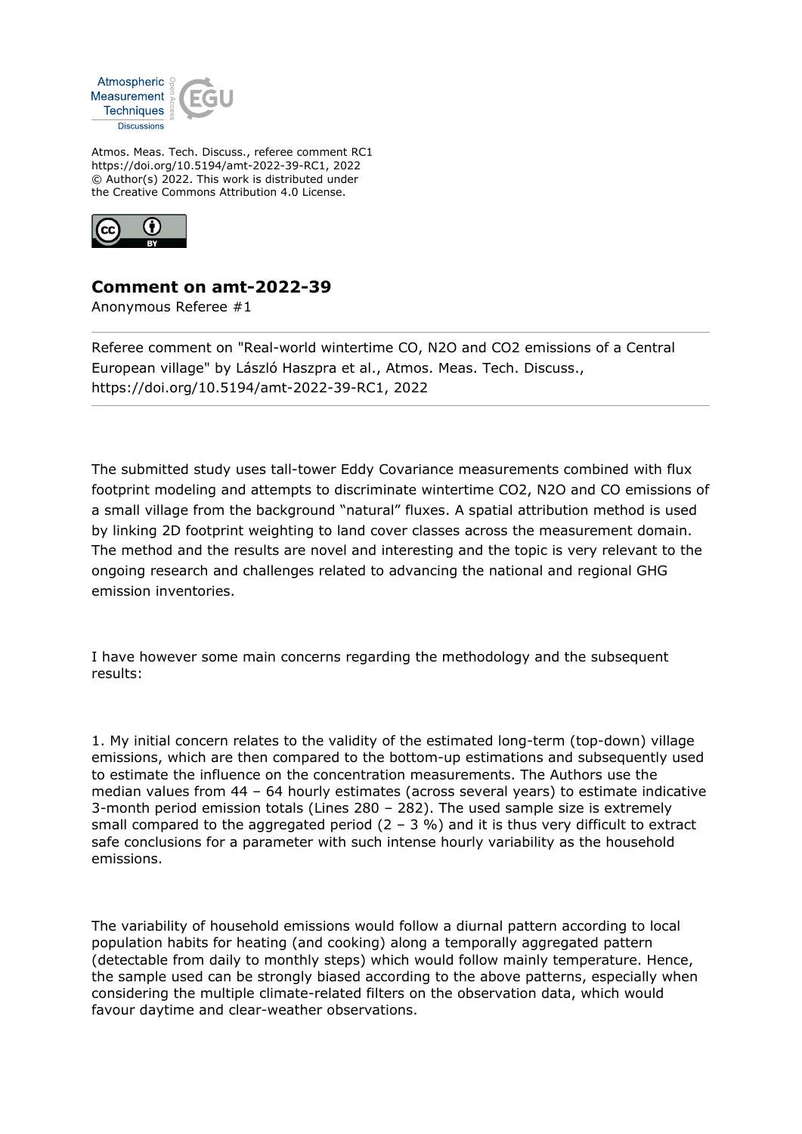

Atmos. Meas. Tech. Discuss., referee comment RC1 https://doi.org/10.5194/amt-2022-39-RC1, 2022 © Author(s) 2022. This work is distributed under the Creative Commons Attribution 4.0 License.



## **Comment on amt-2022-39**

Anonymous Referee #1

Referee comment on "Real-world wintertime CO, N2O and CO2 emissions of a Central European village" by László Haszpra et al., Atmos. Meas. Tech. Discuss., https://doi.org/10.5194/amt-2022-39-RC1, 2022

The submitted study uses tall-tower Eddy Covariance measurements combined with flux footprint modeling and attempts to discriminate wintertime CO2, N2O and CO emissions of a small village from the background "natural" fluxes. A spatial attribution method is used by linking 2D footprint weighting to land cover classes across the measurement domain. The method and the results are novel and interesting and the topic is very relevant to the ongoing research and challenges related to advancing the national and regional GHG emission inventories.

I have however some main concerns regarding the methodology and the subsequent results:

1. My initial concern relates to the validity of the estimated long-term (top-down) village emissions, which are then compared to the bottom-up estimations and subsequently used to estimate the influence on the concentration measurements. The Authors use the median values from 44 – 64 hourly estimates (across several years) to estimate indicative 3-month period emission totals (Lines 280 – 282). The used sample size is extremely small compared to the aggregated period  $(2 - 3 %)$  and it is thus very difficult to extract safe conclusions for a parameter with such intense hourly variability as the household emissions.

The variability of household emissions would follow a diurnal pattern according to local population habits for heating (and cooking) along a temporally aggregated pattern (detectable from daily to monthly steps) which would follow mainly temperature. Hence, the sample used can be strongly biased according to the above patterns, especially when considering the multiple climate-related filters on the observation data, which would favour daytime and clear-weather observations.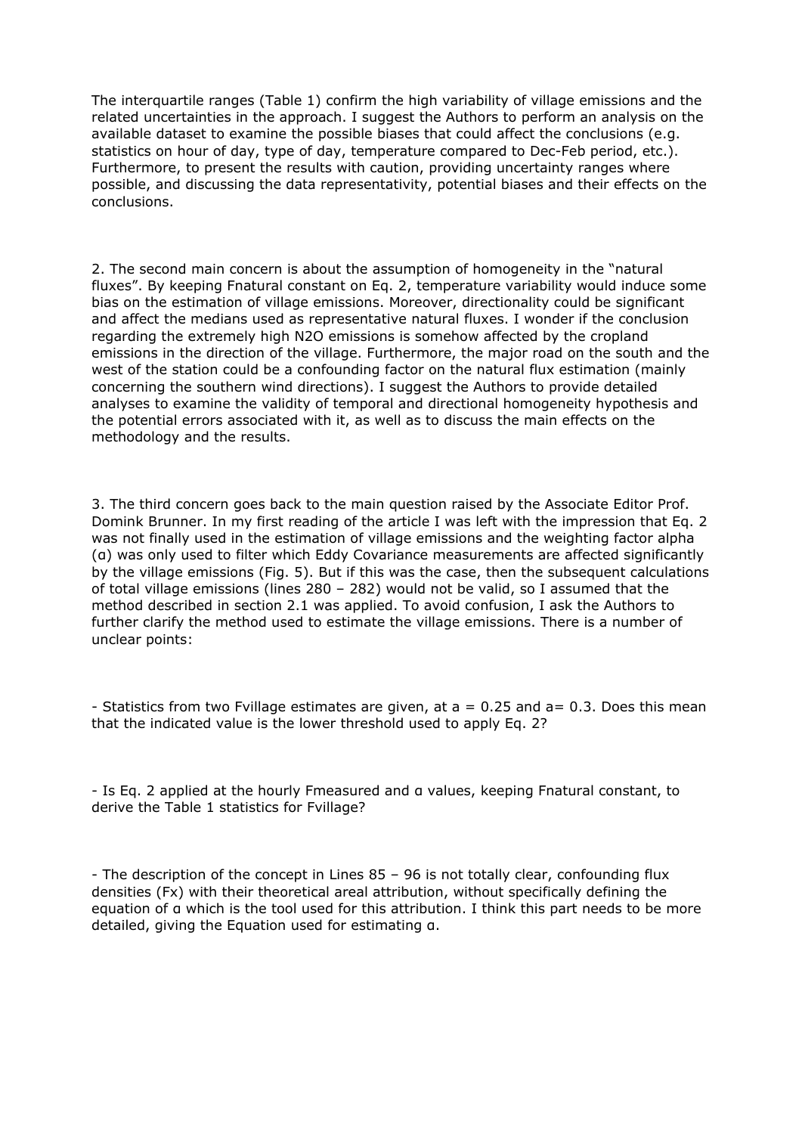The interquartile ranges (Table 1) confirm the high variability of village emissions and the related uncertainties in the approach. I suggest the Authors to perform an analysis on the available dataset to examine the possible biases that could affect the conclusions (e.g. statistics on hour of day, type of day, temperature compared to Dec-Feb period, etc.). Furthermore, to present the results with caution, providing uncertainty ranges where possible, and discussing the data representativity, potential biases and their effects on the conclusions.

2. The second main concern is about the assumption of homogeneity in the "natural fluxes". By keeping Fnatural constant on Eq. 2, temperature variability would induce some bias on the estimation of village emissions. Moreover, directionality could be significant and affect the medians used as representative natural fluxes. I wonder if the conclusion regarding the extremely high N2O emissions is somehow affected by the cropland emissions in the direction of the village. Furthermore, the major road on the south and the west of the station could be a confounding factor on the natural flux estimation (mainly concerning the southern wind directions). I suggest the Authors to provide detailed analyses to examine the validity of temporal and directional homogeneity hypothesis and the potential errors associated with it, as well as to discuss the main effects on the methodology and the results.

3. The third concern goes back to the main question raised by the Associate Editor Prof. Domink Brunner. In my first reading of the article I was left with the impression that Eq. 2 was not finally used in the estimation of village emissions and the weighting factor alpha (α) was only used to filter which Eddy Covariance measurements are affected significantly by the village emissions (Fig. 5). But if this was the case, then the subsequent calculations of total village emissions (lines 280 – 282) would not be valid, so I assumed that the method described in section 2.1 was applied. To avoid confusion, I ask the Authors to further clarify the method used to estimate the village emissions. There is a number of unclear points:

- Statistics from two Fvillage estimates are given, at  $a = 0.25$  and  $a = 0.3$ . Does this mean that the indicated value is the lower threshold used to apply Eq. 2?

- Is Eq. 2 applied at the hourly Fmeasured and α values, keeping Fnatural constant, to derive the Table 1 statistics for Fvillage?

- The description of the concept in Lines 85 – 96 is not totally clear, confounding flux densities (Fx) with their theoretical areal attribution, without specifically defining the equation of α which is the tool used for this attribution. I think this part needs to be more detailed, giving the Equation used for estimating α.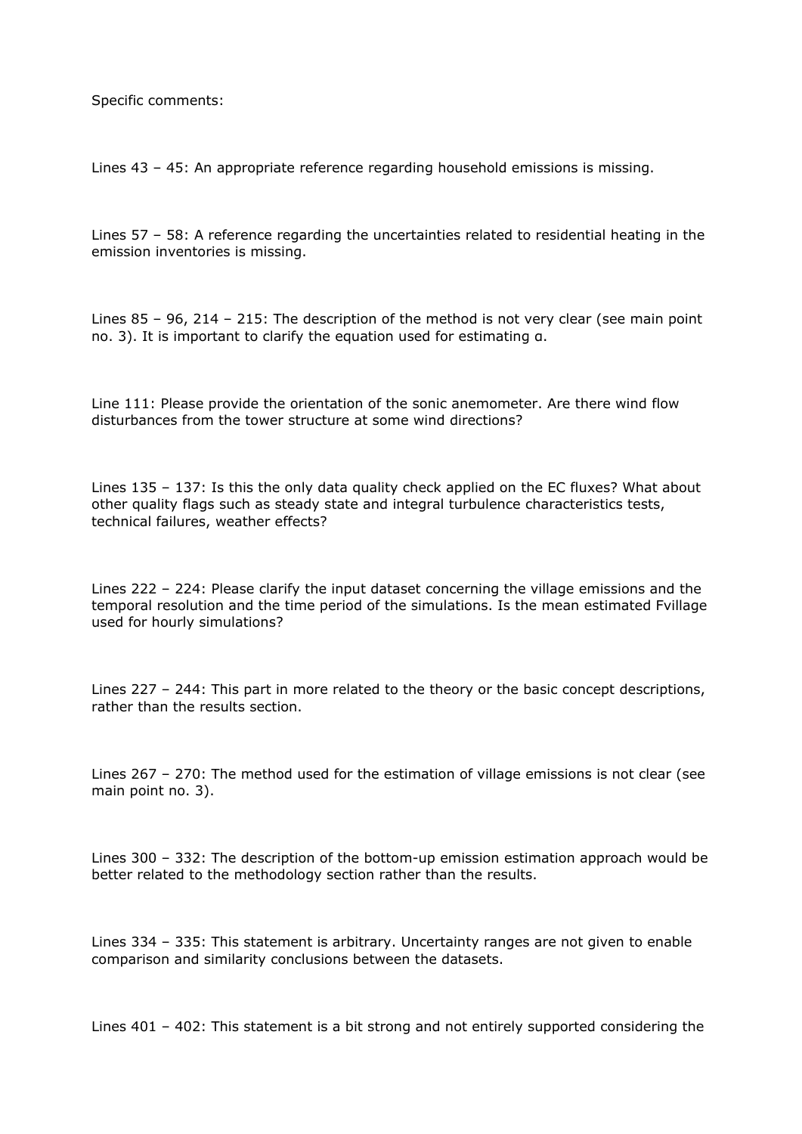Specific comments:

Lines 43 – 45: An appropriate reference regarding household emissions is missing.

Lines 57 – 58: A reference regarding the uncertainties related to residential heating in the emission inventories is missing.

Lines 85 – 96, 214 – 215: The description of the method is not very clear (see main point no. 3). It is important to clarify the equation used for estimating α.

Line 111: Please provide the orientation of the sonic anemometer. Are there wind flow disturbances from the tower structure at some wind directions?

Lines 135 – 137: Is this the only data quality check applied on the EC fluxes? What about other quality flags such as steady state and integral turbulence characteristics tests, technical failures, weather effects?

Lines 222 – 224: Please clarify the input dataset concerning the village emissions and the temporal resolution and the time period of the simulations. Is the mean estimated Fvillage used for hourly simulations?

Lines 227 – 244: This part in more related to the theory or the basic concept descriptions, rather than the results section.

Lines 267 – 270: The method used for the estimation of village emissions is not clear (see main point no. 3).

Lines 300 – 332: The description of the bottom-up emission estimation approach would be better related to the methodology section rather than the results.

Lines 334 – 335: This statement is arbitrary. Uncertainty ranges are not given to enable comparison and similarity conclusions between the datasets.

Lines 401 – 402: This statement is a bit strong and not entirely supported considering the